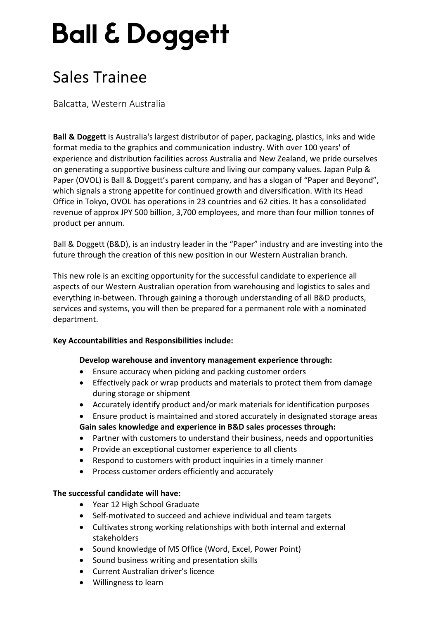# **Ball & Doggett**

## Sales Trainee

Balcatta, Western Australia

**Ball & Doggett** is Australia's largest distributor of paper, packaging, plastics, inks and wide format media to the graphics and communication industry. With over 100 years' of experience and distribution facilities across Australia and New Zealand, we pride ourselves on generating a supportive business culture and living our company values. Japan Pulp & Paper (OVOL) is Ball & Doggett's parent company, and has a slogan of "Paper and Beyond", which signals a strong appetite for continued growth and diversification. With its Head Office in Tokyo, OVOL has operations in 23 countries and 62 cities. It has a consolidated revenue of approx JPY 500 billion, 3,700 employees, and more than four million tonnes of product per annum.

Ball & Doggett (B&D), is an industry leader in the "Paper" industry and are investing into the future through the creation of this new position in our Western Australian branch.

This new role is an exciting opportunity for the successful candidate to experience all aspects of our Western Australian operation from warehousing and logistics to sales and everything in-between. Through gaining a thorough understanding of all B&D products, services and systems, you will then be prepared for a permanent role with a nominated department.

### **Key Accountabilities and Responsibilities include:**

### **Develop warehouse and inventory management experience through:**

- Ensure accuracy when picking and packing customer orders
- Effectively pack or wrap products and materials to protect them from damage during storage or shipment
- Accurately identify product and/or mark materials for identification purposes
- Ensure product is maintained and stored accurately in designated storage areas **Gain sales knowledge and experience in B&D sales processes through:**
- Partner with customers to understand their business, needs and opportunities
- Provide an exceptional customer experience to all clients
- Respond to customers with product inquiries in a timely manner
- Process customer orders efficiently and accurately

### **The successful candidate will have:**

- Year 12 High School Graduate
- Self-motivated to succeed and achieve individual and team targets
- Cultivates strong working relationships with both internal and external stakeholders
- Sound knowledge of MS Office (Word, Excel, Power Point)
- Sound business writing and presentation skills
- Current Australian driver's licence
- Willingness to learn